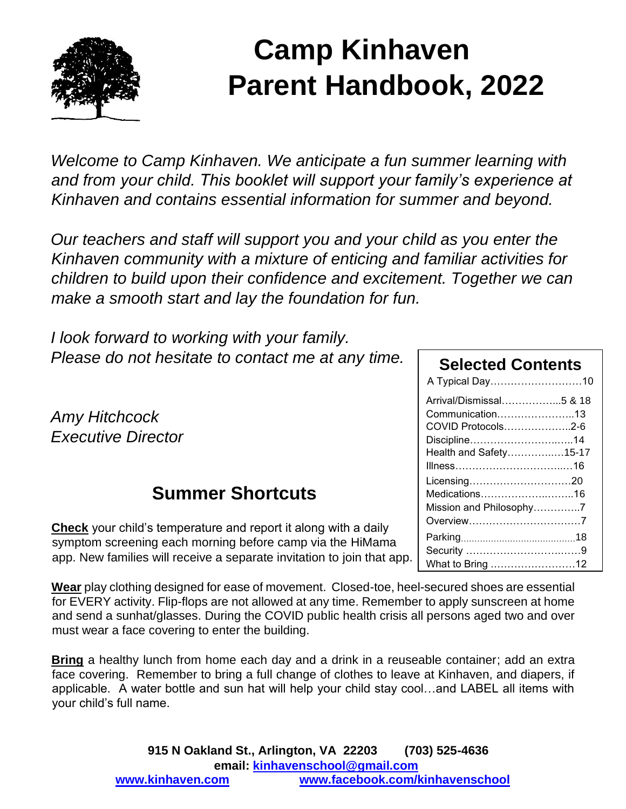

# **Camp Kinhaven Parent Handbook, 2022**

*Welcome to Camp Kinhaven. We anticipate a fun summer learning with and from your child. This booklet will support your family's experience at Kinhaven and contains essential information for summer and beyond.*

*Our teachers and staff will support you and your child as you enter the Kinhaven community with a mixture of enticing and familiar activities for children to build upon their confidence and excitement. Together we can make a smooth start and lay the foundation for fun.*

*I look forward to working with your family. Please do not hesitate to contact me at any time.*

*Amy Hitchcock Executive Director* 

# **Summer Shortcuts**

**Check** your child's temperature and report it along with a daily symptom screening each morning before camp via the HiMama app. New families will receive a separate invitation to join that app.

**Wear** play clothing designed for ease of movement. Closed-toe, heel-secured shoes are essential for EVERY activity. Flip-flops are not allowed at any time. Remember to apply sunscreen at home and send a sunhat/glasses. During the COVID public health crisis all persons aged two and over must wear a face covering to enter the building.

**Bring** a healthy lunch from home each day and a drink in a reuseable container; add an extra face covering. Remember to bring a full change of clothes to leave at Kinhaven, and diapers, if applicable. A water bottle and sun hat will help your child stay cool…and LABEL all items with your child's full name.

# **Selected Contents**

| A Typical Day10         |  |
|-------------------------|--|
| Arrival/Dismissal5 & 18 |  |
| Communication13         |  |
| COVID Protocols2-6      |  |
| Discipline14            |  |
| Health and Safety15-17  |  |
|                         |  |
| Licensing20             |  |
| Medications16           |  |
| Mission and Philosophy7 |  |
| Overview7               |  |
|                         |  |
|                         |  |
| What to Bring 12        |  |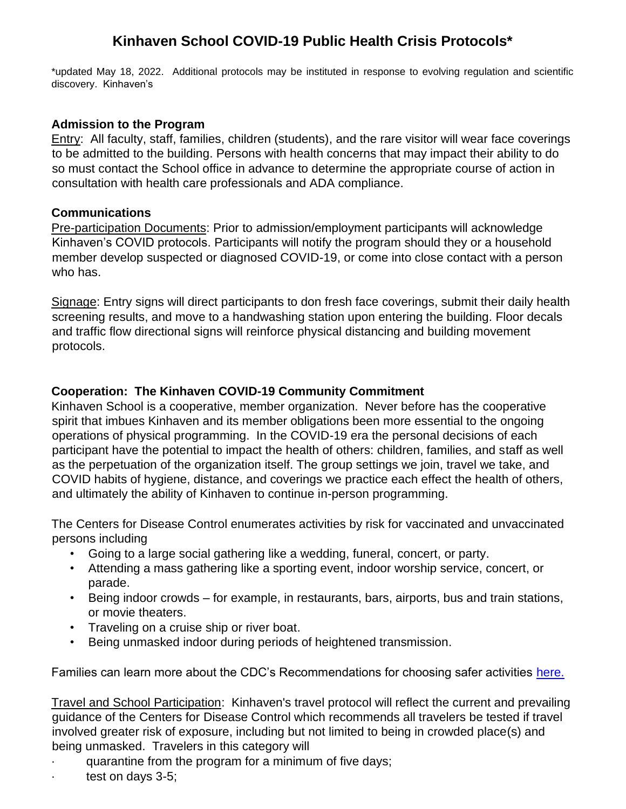# **Kinhaven School COVID-19 Public Health Crisis Protocols\***

\*updated May 18, 2022. Additional protocols may be instituted in response to evolving regulation and scientific discovery. Kinhaven's

#### **Admission to the Program**

Entry: All faculty, staff, families, children (students), and the rare visitor will wear face coverings to be admitted to the building. Persons with health concerns that may impact their ability to do so must contact the School office in advance to determine the appropriate course of action in consultation with health care professionals and ADA compliance.

#### **Communications**

Pre-participation Documents: Prior to admission/employment participants will acknowledge Kinhaven's COVID protocols. Participants will notify the program should they or a household member develop suspected or diagnosed COVID-19, or come into close contact with a person who has.

Signage: Entry signs will direct participants to don fresh face coverings, submit their daily health screening results, and move to a handwashing station upon entering the building. Floor decals and traffic flow directional signs will reinforce physical distancing and building movement protocols.

### **Cooperation: The Kinhaven COVID-19 Community Commitment**

Kinhaven School is a cooperative, member organization. Never before has the cooperative spirit that imbues Kinhaven and its member obligations been more essential to the ongoing operations of physical programming. In the COVID-19 era the personal decisions of each participant have the potential to impact the health of others: children, families, and staff as well as the perpetuation of the organization itself. The group settings we join, travel we take, and COVID habits of hygiene, distance, and coverings we practice each effect the health of others, and ultimately the ability of Kinhaven to continue in-person programming.

The Centers for Disease Control enumerates activities by risk for vaccinated and unvaccinated persons including

- Going to a large social gathering like a wedding, funeral, concert, or party.
- Attending a mass gathering like a sporting event, indoor worship service, concert, or parade.
- Being indoor crowds for example, in restaurants, bars, airports, bus and train stations, or movie theaters.
- Traveling on a cruise ship or river boat.
- Being unmasked indoor during periods of heightened transmission.

Families can learn more about the CDC's Recommendations for choosing safer activities [here.](https://www.cdc.gov/coronavirus/2019-ncov/vaccines/pdfs/324153-K-COVID-19_choosingSaferAct2.pdf)

Travel and School Participation: Kinhaven's travel protocol will reflect the current and prevailing guidance of the Centers for Disease Control which recommends all travelers be tested if travel involved greater risk of exposure, including but not limited to being in crowded place(s) and being unmasked. Travelers in this category will

- · quarantine from the program for a minimum of five days;
- test on days 3-5;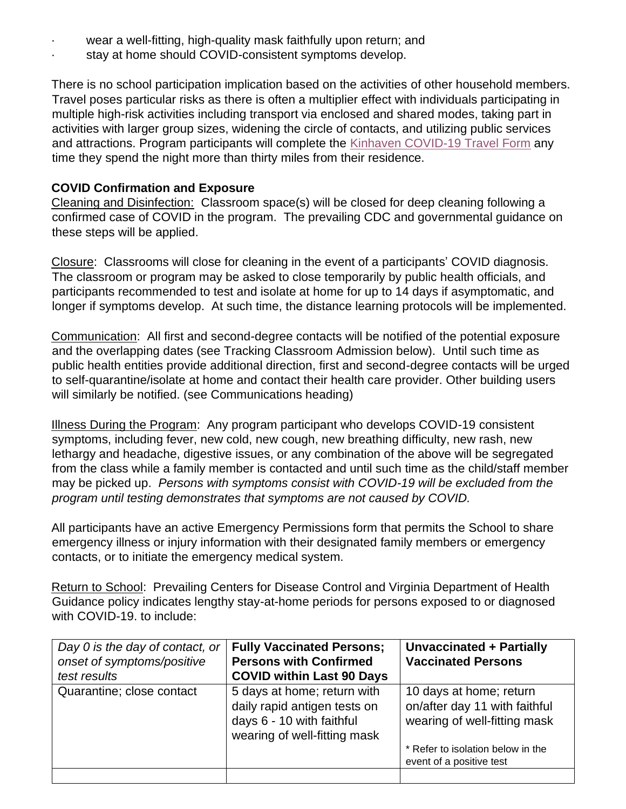- wear a well-fitting, high-quality mask faithfully upon return; and
- stay at home should COVID-consistent symptoms develop.

There is no school participation implication based on the activities of other household members. Travel poses particular risks as there is often a multiplier effect with individuals participating in multiple high-risk activities including transport via enclosed and shared modes, taking part in activities with larger group sizes, widening the circle of contacts, and utilizing public services and attractions. Program participants will complete the [Kinhaven COVID-19 Travel Form](https://form.jotform.com/kinhavenschool/kinhaven-covid-19-travel-form) any time they spend the night more than thirty miles from their residence.

# **COVID Confirmation and Exposure**

Cleaning and Disinfection: Classroom space(s) will be closed for deep cleaning following a confirmed case of COVID in the program. The prevailing CDC and governmental guidance on these steps will be applied.

Closure: Classrooms will close for cleaning in the event of a participants' COVID diagnosis. The classroom or program may be asked to close temporarily by public health officials, and participants recommended to test and isolate at home for up to 14 days if asymptomatic, and longer if symptoms develop. At such time, the distance learning protocols will be implemented.

Communication: All first and second-degree contacts will be notified of the potential exposure and the overlapping dates (see Tracking Classroom Admission below). Until such time as public health entities provide additional direction, first and second-degree contacts will be urged to self-quarantine/isolate at home and contact their health care provider. Other building users will similarly be notified. (see Communications heading)

Illness During the Program: Any program participant who develops COVID-19 consistent symptoms, including fever, new cold, new cough, new breathing difficulty, new rash, new lethargy and headache, digestive issues, or any combination of the above will be segregated from the class while a family member is contacted and until such time as the child/staff member may be picked up. *Persons with symptoms consist with COVID-19 will be excluded from the program until testing demonstrates that symptoms are not caused by COVID.*

All participants have an active Emergency Permissions form that permits the School to share emergency illness or injury information with their designated family members or emergency contacts, or to initiate the emergency medical system.

Return to School: Prevailing Centers for Disease Control and Virginia Department of Health Guidance policy indicates lengthy stay-at-home periods for persons exposed to or diagnosed with COVID-19. to include:

| Day 0 is the day of contact, or<br>onset of symptoms/positive<br>test results | <b>Fully Vaccinated Persons;</b><br><b>Persons with Confirmed</b><br><b>COVID within Last 90 Days</b>                    | <b>Unvaccinated + Partially</b><br><b>Vaccinated Persons</b>                             |
|-------------------------------------------------------------------------------|--------------------------------------------------------------------------------------------------------------------------|------------------------------------------------------------------------------------------|
| Quarantine; close contact                                                     | 5 days at home; return with<br>daily rapid antigen tests on<br>days 6 - 10 with faithful<br>wearing of well-fitting mask | 10 days at home; return<br>on/after day 11 with faithful<br>wearing of well-fitting mask |
|                                                                               |                                                                                                                          | * Refer to isolation below in the<br>event of a positive test                            |
|                                                                               |                                                                                                                          |                                                                                          |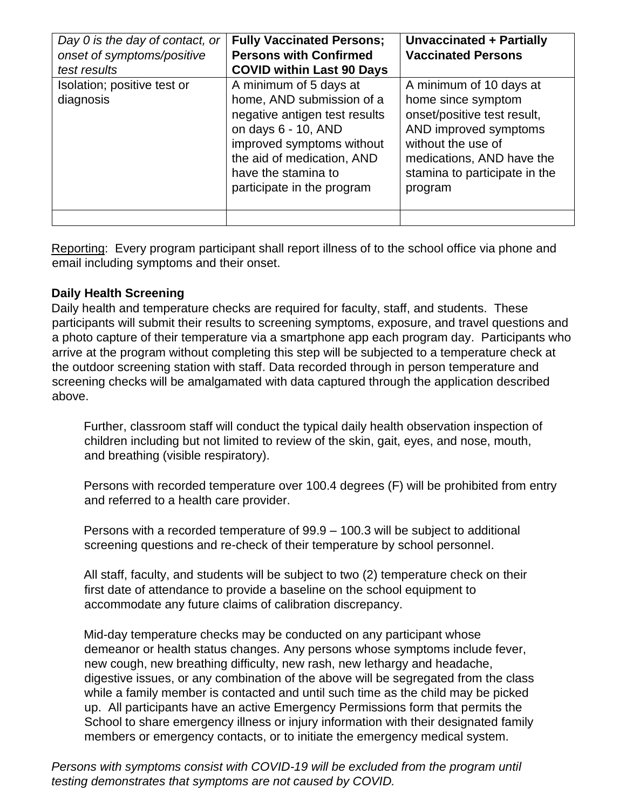| Day 0 is the day of contact, or<br>onset of symptoms/positive<br>test results | <b>Fully Vaccinated Persons;</b><br><b>Persons with Confirmed</b><br><b>COVID within Last 90 Days</b>                                                                                                                       | Unvaccinated + Partially<br><b>Vaccinated Persons</b>                                                                                                                                                |
|-------------------------------------------------------------------------------|-----------------------------------------------------------------------------------------------------------------------------------------------------------------------------------------------------------------------------|------------------------------------------------------------------------------------------------------------------------------------------------------------------------------------------------------|
| Isolation; positive test or<br>diagnosis                                      | A minimum of 5 days at<br>home, AND submission of a<br>negative antigen test results<br>on days 6 - 10, AND<br>improved symptoms without<br>the aid of medication, AND<br>have the stamina to<br>participate in the program | A minimum of 10 days at<br>home since symptom<br>onset/positive test result,<br>AND improved symptoms<br>without the use of<br>medications, AND have the<br>stamina to participate in the<br>program |
|                                                                               |                                                                                                                                                                                                                             |                                                                                                                                                                                                      |

Reporting: Every program participant shall report illness of to the school office via phone and email including symptoms and their onset.

### **Daily Health Screening**

Daily health and temperature checks are required for faculty, staff, and students. These participants will submit their results to screening symptoms, exposure, and travel questions and a photo capture of their temperature via a smartphone app each program day. Participants who arrive at the program without completing this step will be subjected to a temperature check at the outdoor screening station with staff. Data recorded through in person temperature and screening checks will be amalgamated with data captured through the application described above.

Further, classroom staff will conduct the typical daily health observation inspection of children including but not limited to review of the skin, gait, eyes, and nose, mouth, and breathing (visible respiratory).

Persons with recorded temperature over 100.4 degrees (F) will be prohibited from entry and referred to a health care provider.

Persons with a recorded temperature of 99.9 – 100.3 will be subject to additional screening questions and re-check of their temperature by school personnel.

All staff, faculty, and students will be subject to two (2) temperature check on their first date of attendance to provide a baseline on the school equipment to accommodate any future claims of calibration discrepancy.

Mid-day temperature checks may be conducted on any participant whose demeanor or health status changes. Any persons whose symptoms include fever, new cough, new breathing difficulty, new rash, new lethargy and headache, digestive issues, or any combination of the above will be segregated from the class while a family member is contacted and until such time as the child may be picked up. All participants have an active Emergency Permissions form that permits the School to share emergency illness or injury information with their designated family members or emergency contacts, or to initiate the emergency medical system.

*Persons with symptoms consist with COVID-19 will be excluded from the program until testing demonstrates that symptoms are not caused by COVID.*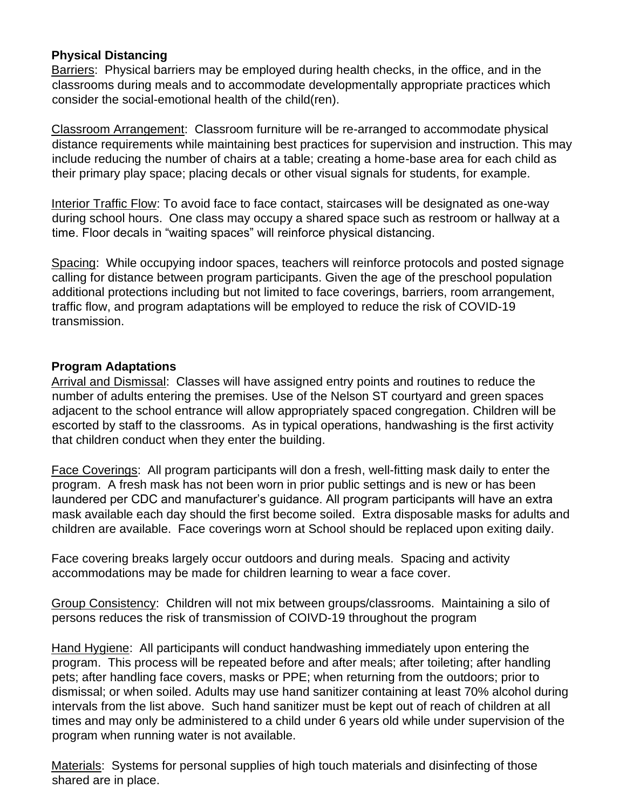#### **Physical Distancing**

Barriers: Physical barriers may be employed during health checks, in the office, and in the classrooms during meals and to accommodate developmentally appropriate practices which consider the social-emotional health of the child(ren).

Classroom Arrangement: Classroom furniture will be re-arranged to accommodate physical distance requirements while maintaining best practices for supervision and instruction. This may include reducing the number of chairs at a table; creating a home-base area for each child as their primary play space; placing decals or other visual signals for students, for example.

Interior Traffic Flow: To avoid face to face contact, staircases will be designated as one-way during school hours. One class may occupy a shared space such as restroom or hallway at a time. Floor decals in "waiting spaces" will reinforce physical distancing.

Spacing: While occupying indoor spaces, teachers will reinforce protocols and posted signage calling for distance between program participants. Given the age of the preschool population additional protections including but not limited to face coverings, barriers, room arrangement, traffic flow, and program adaptations will be employed to reduce the risk of COVID-19 transmission.

### **Program Adaptations**

Arrival and Dismissal: Classes will have assigned entry points and routines to reduce the number of adults entering the premises. Use of the Nelson ST courtyard and green spaces adjacent to the school entrance will allow appropriately spaced congregation. Children will be escorted by staff to the classrooms. As in typical operations, handwashing is the first activity that children conduct when they enter the building.

Face Coverings: All program participants will don a fresh, well-fitting mask daily to enter the program. A fresh mask has not been worn in prior public settings and is new or has been laundered per CDC and manufacturer's guidance. All program participants will have an extra mask available each day should the first become soiled. Extra disposable masks for adults and children are available. Face coverings worn at School should be replaced upon exiting daily.

Face covering breaks largely occur outdoors and during meals. Spacing and activity accommodations may be made for children learning to wear a face cover.

Group Consistency: Children will not mix between groups/classrooms. Maintaining a silo of persons reduces the risk of transmission of COIVD-19 throughout the program

Hand Hygiene: All participants will conduct handwashing immediately upon entering the program. This process will be repeated before and after meals; after toileting; after handling pets; after handling face covers, masks or PPE; when returning from the outdoors; prior to dismissal; or when soiled. Adults may use hand sanitizer containing at least 70% alcohol during intervals from the list above. Such hand sanitizer must be kept out of reach of children at all times and may only be administered to a child under 6 years old while under supervision of the program when running water is not available.

Materials: Systems for personal supplies of high touch materials and disinfecting of those shared are in place.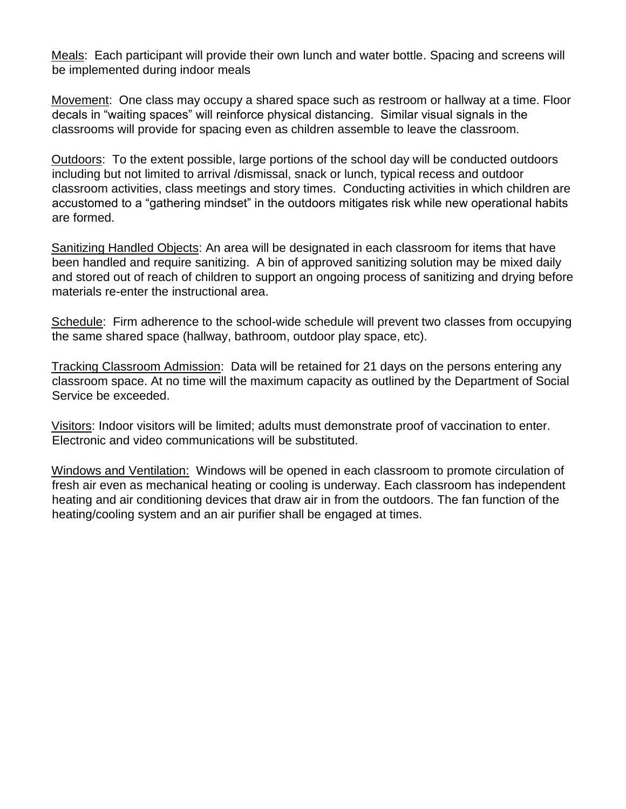Meals: Each participant will provide their own lunch and water bottle. Spacing and screens will be implemented during indoor meals

Movement: One class may occupy a shared space such as restroom or hallway at a time. Floor decals in "waiting spaces" will reinforce physical distancing. Similar visual signals in the classrooms will provide for spacing even as children assemble to leave the classroom.

Outdoors: To the extent possible, large portions of the school day will be conducted outdoors including but not limited to arrival /dismissal, snack or lunch, typical recess and outdoor classroom activities, class meetings and story times. Conducting activities in which children are accustomed to a "gathering mindset" in the outdoors mitigates risk while new operational habits are formed.

Sanitizing Handled Objects: An area will be designated in each classroom for items that have been handled and require sanitizing. A bin of approved sanitizing solution may be mixed daily and stored out of reach of children to support an ongoing process of sanitizing and drying before materials re-enter the instructional area.

Schedule: Firm adherence to the school-wide schedule will prevent two classes from occupying the same shared space (hallway, bathroom, outdoor play space, etc).

Tracking Classroom Admission: Data will be retained for 21 days on the persons entering any classroom space. At no time will the maximum capacity as outlined by the Department of Social Service be exceeded.

Visitors: Indoor visitors will be limited; adults must demonstrate proof of vaccination to enter. Electronic and video communications will be substituted.

Windows and Ventilation: Windows will be opened in each classroom to promote circulation of fresh air even as mechanical heating or cooling is underway. Each classroom has independent heating and air conditioning devices that draw air in from the outdoors. The fan function of the heating/cooling system and an air purifier shall be engaged at times.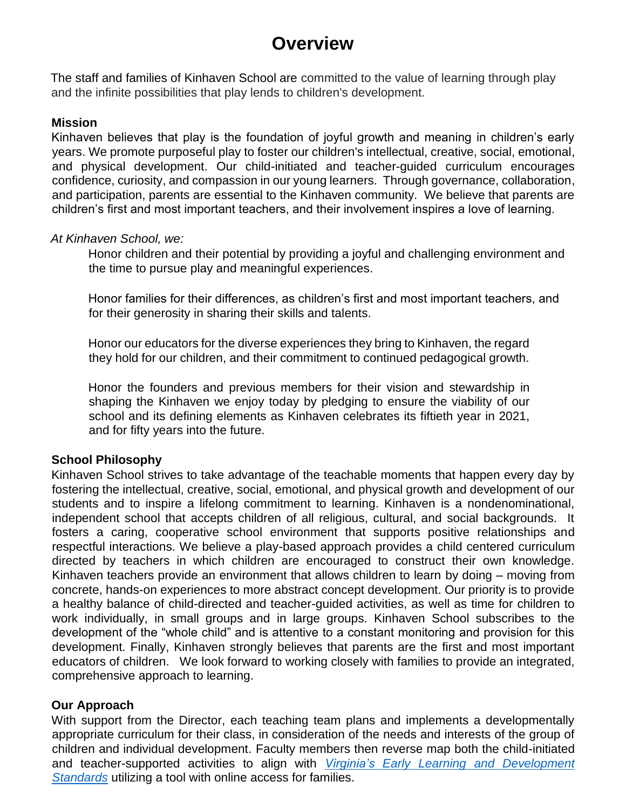# **Overview**

The staff and families of Kinhaven School are committed to the value of learning through play and the infinite possibilities that play lends to children's development.

#### **Mission**

Kinhaven believes that play is the foundation of joyful growth and meaning in children's early years. We promote purposeful play to foster our children's intellectual, creative, social, emotional, and physical development. Our child-initiated and teacher-guided curriculum encourages confidence, curiosity, and compassion in our young learners. Through governance, collaboration, and participation, parents are essential to the Kinhaven community. We believe that parents are children's first and most important teachers, and their involvement inspires a love of learning.

#### *At Kinhaven School, we:*

Honor children and their potential by providing a joyful and challenging environment and the time to pursue play and meaningful experiences.

Honor families for their differences, as children's first and most important teachers, and for their generosity in sharing their skills and talents.

Honor our educators for the diverse experiences they bring to Kinhaven, the regard they hold for our children, and their commitment to continued pedagogical growth.

Honor the founders and previous members for their vision and stewardship in shaping the Kinhaven we enjoy today by pledging to ensure the viability of our school and its defining elements as Kinhaven celebrates its fiftieth year in 2021, and for fifty years into the future.

#### **School Philosophy**

Kinhaven School strives to take advantage of the teachable moments that happen every day by fostering the intellectual, creative, social, emotional, and physical growth and development of our students and to inspire a lifelong commitment to learning. Kinhaven is a nondenominational, independent school that accepts children of all religious, cultural, and social backgrounds. It fosters a caring, cooperative school environment that supports positive relationships and respectful interactions. We believe a play-based approach provides a child centered curriculum directed by teachers in which children are encouraged to construct their own knowledge. Kinhaven teachers provide an environment that allows children to learn by doing – moving from concrete, hands-on experiences to more abstract concept development. Our priority is to provide a healthy balance of child-directed and teacher-guided activities, as well as time for children to work individually, in small groups and in large groups. Kinhaven School subscribes to the development of the "whole child" and is attentive to a constant monitoring and provision for this development. Finally, Kinhaven strongly believes that parents are the first and most important educators of children. We look forward to working closely with families to provide an integrated, comprehensive approach to learning.

#### **Our Approach**

With support from the Director, each teaching team plans and implements a developmentally appropriate curriculum for their class, in consideration of the needs and interests of the group of children and individual development. Faculty members then reverse map both the child-initiated and teacher-supported activities to align with *[Virginia's Early Learning and Development](https://www.doe.virginia.gov/early-childhood/curriculum/va-elds-birth-5.pdf) [Standards](https://www.doe.virginia.gov/early-childhood/curriculum/va-elds-birth-5.pdf)* utilizing a tool with online access for families.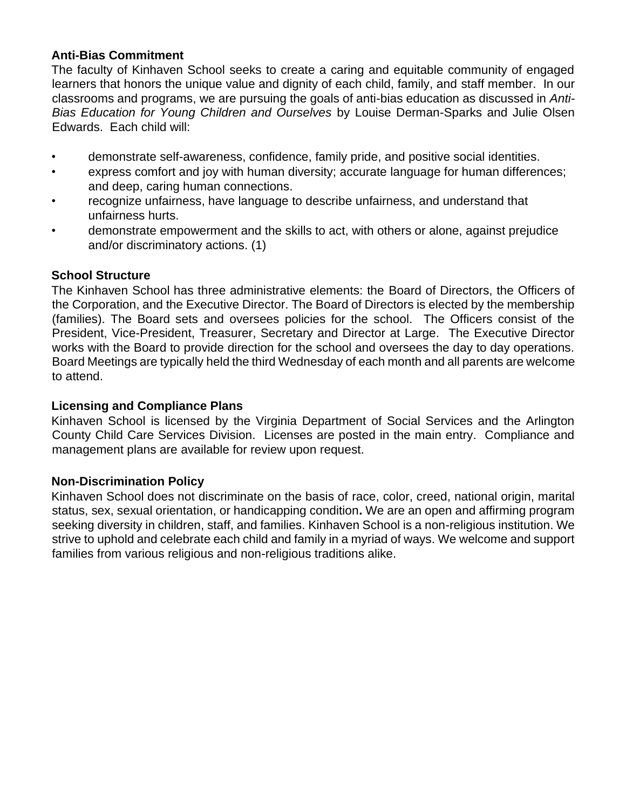#### **Anti-Bias Commitment**

The faculty of Kinhaven School seeks to create a caring and equitable community of engaged learners that honors the unique value and dignity of each child, family, and staff member. In our classrooms and programs, we are pursuing the goals of anti-bias education as discussed in *Anti-Bias Education for Young Children and Ourselves* by Louise Derman-Sparks and Julie Olsen Edwards. Each child will:

- demonstrate self-awareness, confidence, family pride, and positive social identities.
- express comfort and joy with human diversity; accurate language for human differences; and deep, caring human connections.
- recognize unfairness, have language to describe unfairness, and understand that unfairness hurts.
- demonstrate empowerment and the skills to act, with others or alone, against prejudice and/or discriminatory actions. (1)

### **School Structure**

The Kinhaven School has three administrative elements: the Board of Directors, the Officers of the Corporation, and the Executive Director. The Board of Directors is elected by the membership (families). The Board sets and oversees policies for the school. The Officers consist of the President, Vice-President, Treasurer, Secretary and Director at Large. The Executive Director works with the Board to provide direction for the school and oversees the day to day operations. Board Meetings are typically held the third Wednesday of each month and all parents are welcome to attend.

#### **Licensing and Compliance Plans**

Kinhaven School is licensed by the Virginia Department of Social Services and the Arlington County Child Care Services Division. Licenses are posted in the main entry. Compliance and management plans are available for review upon request.

#### **Non-Discrimination Policy**

Kinhaven School does not discriminate on the basis of race, color, creed, national origin, marital status, sex, sexual orientation, or handicapping condition**.** We are an open and affirming program seeking diversity in children, staff, and families. Kinhaven School is a non-religious institution. We strive to uphold and celebrate each child and family in a myriad of ways. We welcome and support families from various religious and non-religious traditions alike.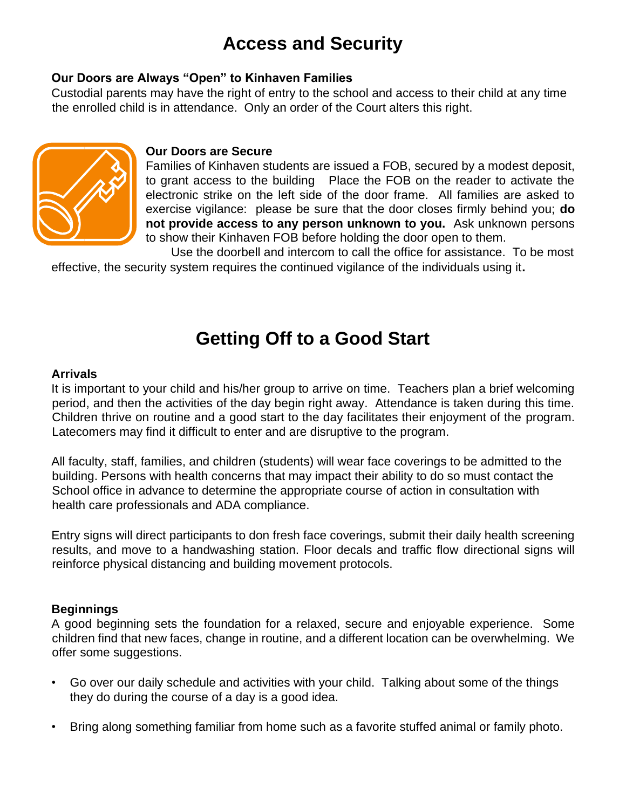# **Access and Security**

### **Our Doors are Always "Open" to Kinhaven Families**

Custodial parents may have the right of entry to the school and access to their child at any time the enrolled child is in attendance. Only an order of the Court alters this right.



#### **Our Doors are Secure**

Families of Kinhaven students are issued a FOB, secured by a modest deposit, to grant access to the building Place the FOB on the reader to activate the electronic strike on the left side of the door frame. All families are asked to exercise vigilance: please be sure that the door closes firmly behind you; **do not provide access to any person unknown to you.** Ask unknown persons to show their Kinhaven FOB before holding the door open to them.

Use the doorbell and intercom to call the office for assistance. To be most effective, the security system requires the continued vigilance of the individuals using it**.** 

# **Getting Off to a Good Start**

#### **Arrivals**

It is important to your child and his/her group to arrive on time. Teachers plan a brief welcoming period, and then the activities of the day begin right away. Attendance is taken during this time. Children thrive on routine and a good start to the day facilitates their enjoyment of the program. Latecomers may find it difficult to enter and are disruptive to the program.

All faculty, staff, families, and children (students) will wear face coverings to be admitted to the building. Persons with health concerns that may impact their ability to do so must contact the School office in advance to determine the appropriate course of action in consultation with health care professionals and ADA compliance.

Entry signs will direct participants to don fresh face coverings, submit their daily health screening results, and move to a handwashing station. Floor decals and traffic flow directional signs will reinforce physical distancing and building movement protocols.

#### **Beginnings**

A good beginning sets the foundation for a relaxed, secure and enjoyable experience. Some children find that new faces, change in routine, and a different location can be overwhelming. We offer some suggestions.

- Go over our daily schedule and activities with your child. Talking about some of the things they do during the course of a day is a good idea.
- Bring along something familiar from home such as a favorite stuffed animal or family photo.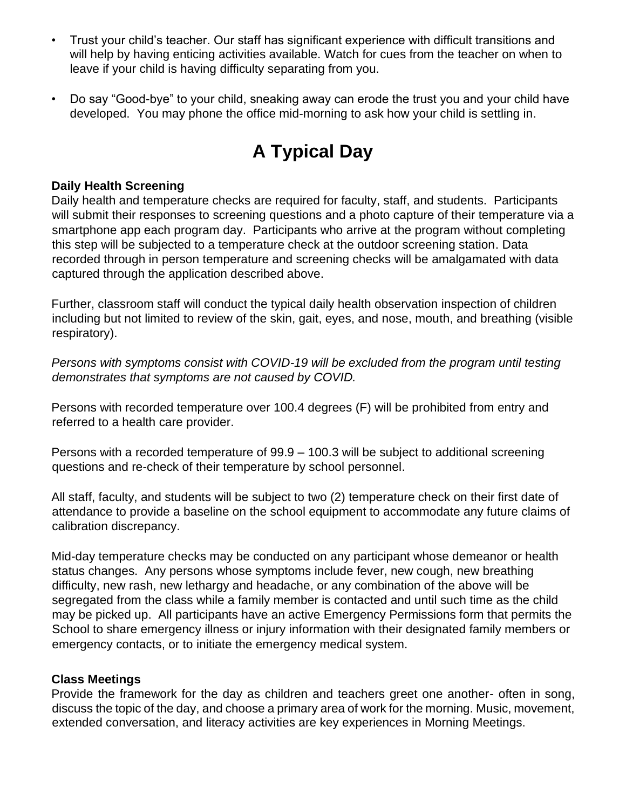- Trust your child's teacher. Our staff has significant experience with difficult transitions and will help by having enticing activities available. Watch for cues from the teacher on when to leave if your child is having difficulty separating from you.
- Do say "Good-bye" to your child, sneaking away can erode the trust you and your child have developed. You may phone the office mid-morning to ask how your child is settling in.

# **A Typical Day**

#### **Daily Health Screening**

Daily health and temperature checks are required for faculty, staff, and students. Participants will submit their responses to screening questions and a photo capture of their temperature via a smartphone app each program day. Participants who arrive at the program without completing this step will be subjected to a temperature check at the outdoor screening station. Data recorded through in person temperature and screening checks will be amalgamated with data captured through the application described above.

Further, classroom staff will conduct the typical daily health observation inspection of children including but not limited to review of the skin, gait, eyes, and nose, mouth, and breathing (visible respiratory).

*Persons with symptoms consist with COVID-19 will be excluded from the program until testing demonstrates that symptoms are not caused by COVID.*

Persons with recorded temperature over 100.4 degrees (F) will be prohibited from entry and referred to a health care provider.

Persons with a recorded temperature of 99.9 – 100.3 will be subject to additional screening questions and re-check of their temperature by school personnel.

All staff, faculty, and students will be subject to two (2) temperature check on their first date of attendance to provide a baseline on the school equipment to accommodate any future claims of calibration discrepancy.

Mid-day temperature checks may be conducted on any participant whose demeanor or health status changes. Any persons whose symptoms include fever, new cough, new breathing difficulty, new rash, new lethargy and headache, or any combination of the above will be segregated from the class while a family member is contacted and until such time as the child may be picked up. All participants have an active Emergency Permissions form that permits the School to share emergency illness or injury information with their designated family members or emergency contacts, or to initiate the emergency medical system.

#### **Class Meetings**

Provide the framework for the day as children and teachers greet one another- often in song, discuss the topic of the day, and choose a primary area of work for the morning. Music, movement, extended conversation, and literacy activities are key experiences in Morning Meetings.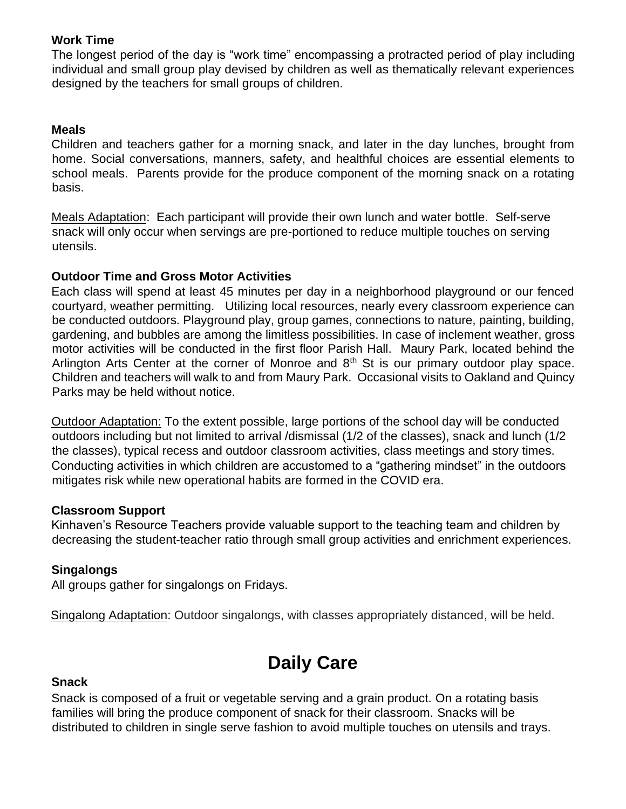### **Work Time**

The longest period of the day is "work time" encompassing a protracted period of play including individual and small group play devised by children as well as thematically relevant experiences designed by the teachers for small groups of children.

#### **Meals**

Children and teachers gather for a morning snack, and later in the day lunches, brought from home. Social conversations, manners, safety, and healthful choices are essential elements to school meals. Parents provide for the produce component of the morning snack on a rotating basis.

Meals Adaptation: Each participant will provide their own lunch and water bottle. Self-serve snack will only occur when servings are pre-portioned to reduce multiple touches on serving utensils.

#### **Outdoor Time and Gross Motor Activities**

Each class will spend at least 45 minutes per day in a neighborhood playground or our fenced courtyard, weather permitting. Utilizing local resources, nearly every classroom experience can be conducted outdoors. Playground play, group games, connections to nature, painting, building, gardening, and bubbles are among the limitless possibilities. In case of inclement weather, gross motor activities will be conducted in the first floor Parish Hall. Maury Park, located behind the Arlington Arts Center at the corner of Monroe and  $8<sup>th</sup>$  St is our primary outdoor play space. Children and teachers will walk to and from Maury Park. Occasional visits to Oakland and Quincy Parks may be held without notice.

Outdoor Adaptation: To the extent possible, large portions of the school day will be conducted outdoors including but not limited to arrival /dismissal (1/2 of the classes), snack and lunch (1/2 the classes), typical recess and outdoor classroom activities, class meetings and story times. Conducting activities in which children are accustomed to a "gathering mindset" in the outdoors mitigates risk while new operational habits are formed in the COVID era.

#### **Classroom Support**

Kinhaven's Resource Teachers provide valuable support to the teaching team and children by decreasing the student-teacher ratio through small group activities and enrichment experiences.

### **Singalongs**

All groups gather for singalongs on Fridays.

Singalong Adaptation: Outdoor singalongs, with classes appropriately distanced, will be held.

# **Daily Care**

#### **Snack**

Snack is composed of a fruit or vegetable serving and a grain product. On a rotating basis families will bring the produce component of snack for their classroom. Snacks will be distributed to children in single serve fashion to avoid multiple touches on utensils and trays.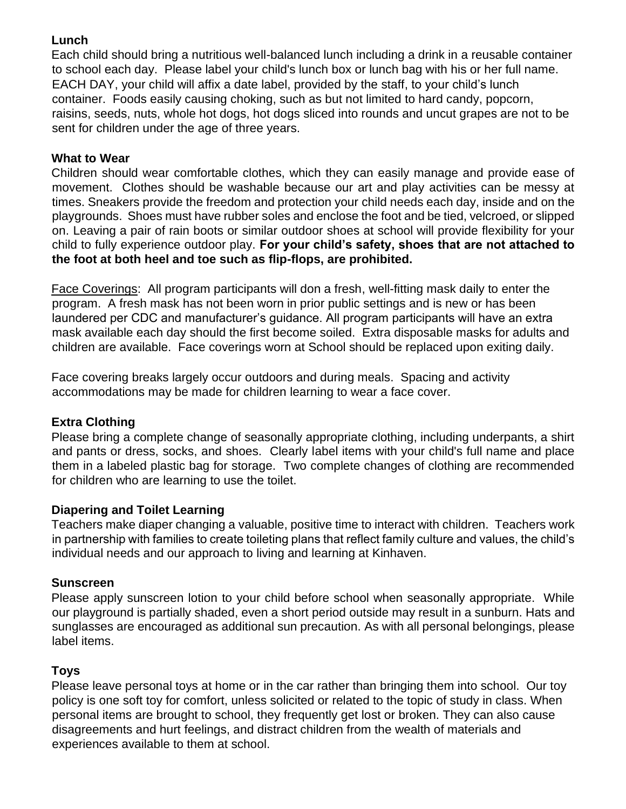# **Lunch**

Each child should bring a nutritious well-balanced lunch including a drink in a reusable container to school each day. Please label your child's lunch box or lunch bag with his or her full name. EACH DAY, your child will affix a date label, provided by the staff, to your child's lunch container. Foods easily causing choking, such as but not limited to hard candy, popcorn, raisins, seeds, nuts, whole hot dogs, hot dogs sliced into rounds and uncut grapes are not to be sent for children under the age of three years.

# **What to Wear**

Children should wear comfortable clothes, which they can easily manage and provide ease of movement. Clothes should be washable because our art and play activities can be messy at times. Sneakers provide the freedom and protection your child needs each day, inside and on the playgrounds. Shoes must have rubber soles and enclose the foot and be tied, velcroed, or slipped on. Leaving a pair of rain boots or similar outdoor shoes at school will provide flexibility for your child to fully experience outdoor play. **For your child's safety, shoes that are not attached to the foot at both heel and toe such as flip-flops, are prohibited.** 

Face Coverings: All program participants will don a fresh, well-fitting mask daily to enter the program. A fresh mask has not been worn in prior public settings and is new or has been laundered per CDC and manufacturer's guidance. All program participants will have an extra mask available each day should the first become soiled. Extra disposable masks for adults and children are available. Face coverings worn at School should be replaced upon exiting daily.

Face covering breaks largely occur outdoors and during meals. Spacing and activity accommodations may be made for children learning to wear a face cover.

# **Extra Clothing**

Please bring a complete change of seasonally appropriate clothing, including underpants, a shirt and pants or dress, socks, and shoes. Clearly label items with your child's full name and place them in a labeled plastic bag for storage. Two complete changes of clothing are recommended for children who are learning to use the toilet.

# **Diapering and Toilet Learning**

Teachers make diaper changing a valuable, positive time to interact with children. Teachers work in partnership with families to create toileting plans that reflect family culture and values, the child's individual needs and our approach to living and learning at Kinhaven.

# **Sunscreen**

Please apply sunscreen lotion to your child before school when seasonally appropriate. While our playground is partially shaded, even a short period outside may result in a sunburn. Hats and sunglasses are encouraged as additional sun precaution. As with all personal belongings, please label items.

# **Toys**

Please leave personal toys at home or in the car rather than bringing them into school. Our toy policy is one soft toy for comfort, unless solicited or related to the topic of study in class. When personal items are brought to school, they frequently get lost or broken. They can also cause disagreements and hurt feelings, and distract children from the wealth of materials and experiences available to them at school.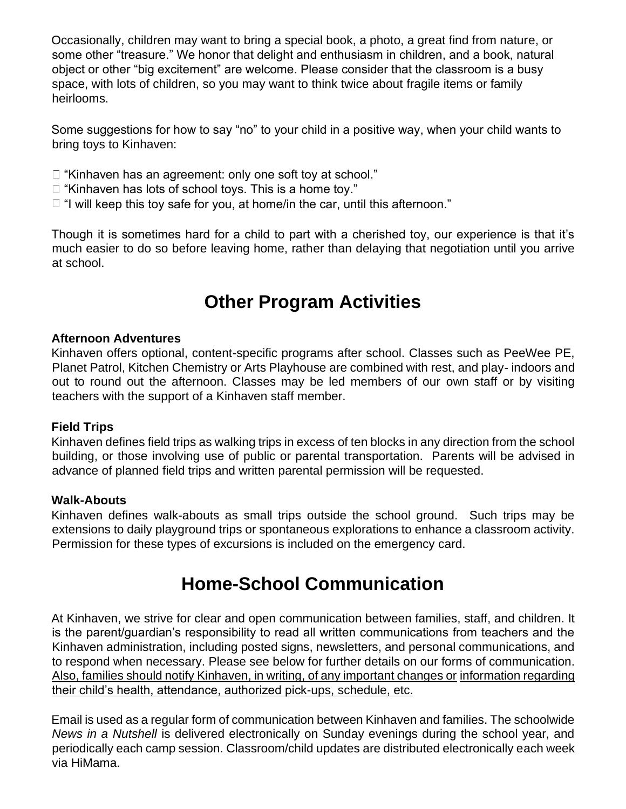Occasionally, children may want to bring a special book, a photo, a great find from nature, or some other "treasure." We honor that delight and enthusiasm in children, and a book, natural object or other "big excitement" are welcome. Please consider that the classroom is a busy space, with lots of children, so you may want to think twice about fragile items or family heirlooms.

Some suggestions for how to say "no" to your child in a positive way, when your child wants to bring toys to Kinhaven:

- □ "Kinhaven has an agreement: only one soft toy at school."
- $\Box$  "Kinhaven has lots of school toys. This is a home toy."
- $\Box$  "I will keep this toy safe for you, at home/in the car, until this afternoon."

Though it is sometimes hard for a child to part with a cherished toy, our experience is that it's much easier to do so before leaving home, rather than delaying that negotiation until you arrive at school.

# **Other Program Activities**

#### **Afternoon Adventures**

Kinhaven offers optional, content-specific programs after school. Classes such as PeeWee PE, Planet Patrol, Kitchen Chemistry or Arts Playhouse are combined with rest, and play- indoors and out to round out the afternoon. Classes may be led members of our own staff or by visiting teachers with the support of a Kinhaven staff member.

#### **Field Trips**

Kinhaven defines field trips as walking trips in excess of ten blocks in any direction from the school building, or those involving use of public or parental transportation. Parents will be advised in advance of planned field trips and written parental permission will be requested.

#### **Walk-Abouts**

Kinhaven defines walk-abouts as small trips outside the school ground. Such trips may be extensions to daily playground trips or spontaneous explorations to enhance a classroom activity. Permission for these types of excursions is included on the emergency card.

# **Home-School Communication**

At Kinhaven, we strive for clear and open communication between families, staff, and children. It is the parent/guardian's responsibility to read all written communications from teachers and the Kinhaven administration, including posted signs, newsletters, and personal communications, and to respond when necessary. Please see below for further details on our forms of communication. Also, families should notify Kinhaven, in writing, of any important changes or information regarding their child's health, attendance, authorized pick-ups, schedule, etc.

Email is used as a regular form of communication between Kinhaven and families. The schoolwide *News in a Nutshell* is delivered electronically on Sunday evenings during the school year, and periodically each camp session. Classroom/child updates are distributed electronically each week via HiMama.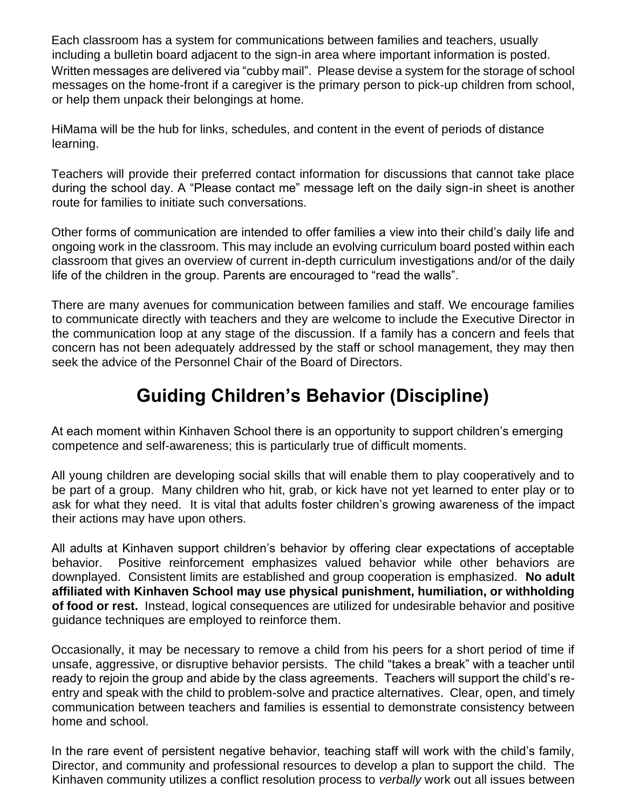Each classroom has a system for communications between families and teachers, usually including a bulletin board adjacent to the sign-in area where important information is posted. Written messages are delivered via "cubby mail". Please devise a system for the storage of school messages on the home-front if a caregiver is the primary person to pick-up children from school, or help them unpack their belongings at home.

HiMama will be the hub for links, schedules, and content in the event of periods of distance learning.

Teachers will provide their preferred contact information for discussions that cannot take place during the school day. A "Please contact me" message left on the daily sign-in sheet is another route for families to initiate such conversations.

Other forms of communication are intended to offer families a view into their child's daily life and ongoing work in the classroom. This may include an evolving curriculum board posted within each classroom that gives an overview of current in-depth curriculum investigations and/or of the daily life of the children in the group. Parents are encouraged to "read the walls".

There are many avenues for communication between families and staff. We encourage families to communicate directly with teachers and they are welcome to include the Executive Director in the communication loop at any stage of the discussion. If a family has a concern and feels that concern has not been adequately addressed by the staff or school management, they may then seek the advice of the Personnel Chair of the Board of Directors.

# **Guiding Children's Behavior (Discipline)**

At each moment within Kinhaven School there is an opportunity to support children's emerging competence and self-awareness; this is particularly true of difficult moments.

All young children are developing social skills that will enable them to play cooperatively and to be part of a group. Many children who hit, grab, or kick have not yet learned to enter play or to ask for what they need. It is vital that adults foster children's growing awareness of the impact their actions may have upon others.

All adults at Kinhaven support children's behavior by offering clear expectations of acceptable behavior. Positive reinforcement emphasizes valued behavior while other behaviors are downplayed. Consistent limits are established and group cooperation is emphasized. **No adult affiliated with Kinhaven School may use physical punishment, humiliation, or withholding of food or rest.** Instead, logical consequences are utilized for undesirable behavior and positive guidance techniques are employed to reinforce them.

Occasionally, it may be necessary to remove a child from his peers for a short period of time if unsafe, aggressive, or disruptive behavior persists. The child "takes a break" with a teacher until ready to rejoin the group and abide by the class agreements. Teachers will support the child's reentry and speak with the child to problem-solve and practice alternatives. Clear, open, and timely communication between teachers and families is essential to demonstrate consistency between home and school.

In the rare event of persistent negative behavior, teaching staff will work with the child's family, Director, and community and professional resources to develop a plan to support the child. The Kinhaven community utilizes a conflict resolution process to *verbally* work out all issues between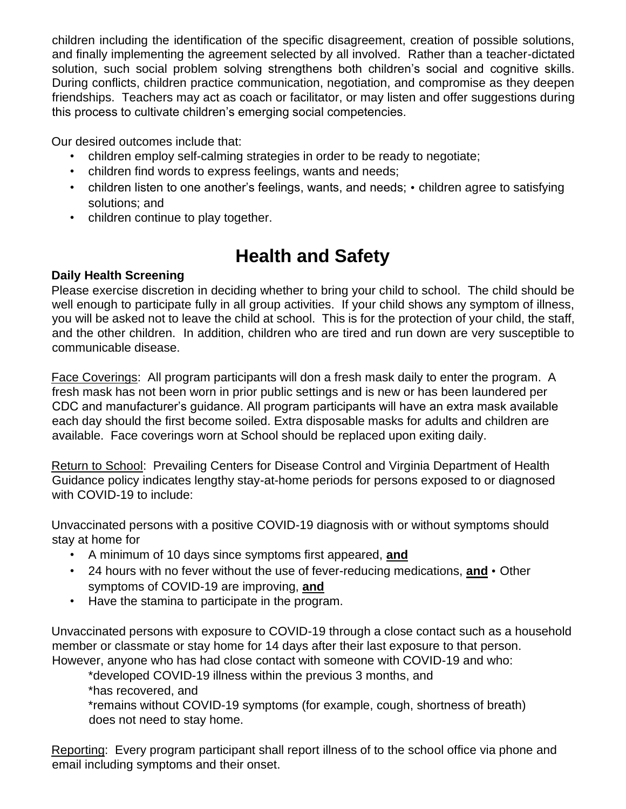children including the identification of the specific disagreement, creation of possible solutions, and finally implementing the agreement selected by all involved. Rather than a teacher-dictated solution, such social problem solving strengthens both children's social and cognitive skills. During conflicts, children practice communication, negotiation, and compromise as they deepen friendships. Teachers may act as coach or facilitator, or may listen and offer suggestions during this process to cultivate children's emerging social competencies.

Our desired outcomes include that:

- children employ self-calming strategies in order to be ready to negotiate;
- children find words to express feelings, wants and needs;
- children listen to one another's feelings, wants, and needs; children agree to satisfying solutions; and
- children continue to play together.

# **Health and Safety**

# **Daily Health Screening**

Please exercise discretion in deciding whether to bring your child to school. The child should be well enough to participate fully in all group activities. If your child shows any symptom of illness, you will be asked not to leave the child at school. This is for the protection of your child, the staff, and the other children. In addition, children who are tired and run down are very susceptible to communicable disease.

Face Coverings: All program participants will don a fresh mask daily to enter the program. A fresh mask has not been worn in prior public settings and is new or has been laundered per CDC and manufacturer's guidance. All program participants will have an extra mask available each day should the first become soiled. Extra disposable masks for adults and children are available. Face coverings worn at School should be replaced upon exiting daily.

Return to School: Prevailing Centers for Disease Control and Virginia Department of Health Guidance policy indicates lengthy stay-at-home periods for persons exposed to or diagnosed with COVID-19 to include:

Unvaccinated persons with a positive COVID-19 diagnosis with or without symptoms should stay at home for

- A minimum of 10 days since symptoms first appeared, **and**
- 24 hours with no fever without the use of fever-reducing medications, **and** Other symptoms of COVID-19 are improving, **and**
- Have the stamina to participate in the program.

Unvaccinated persons with exposure to COVID-19 through a close contact such as a household member or classmate or stay home for 14 days after their last exposure to that person. However, anyone who has had close contact with someone with COVID-19 and who:

\*developed COVID-19 illness within the previous 3 months, and

\*has recovered, and

\*remains without COVID-19 symptoms (for example, cough, shortness of breath) does not need to stay home.

Reporting: Every program participant shall report illness of to the school office via phone and email including symptoms and their onset.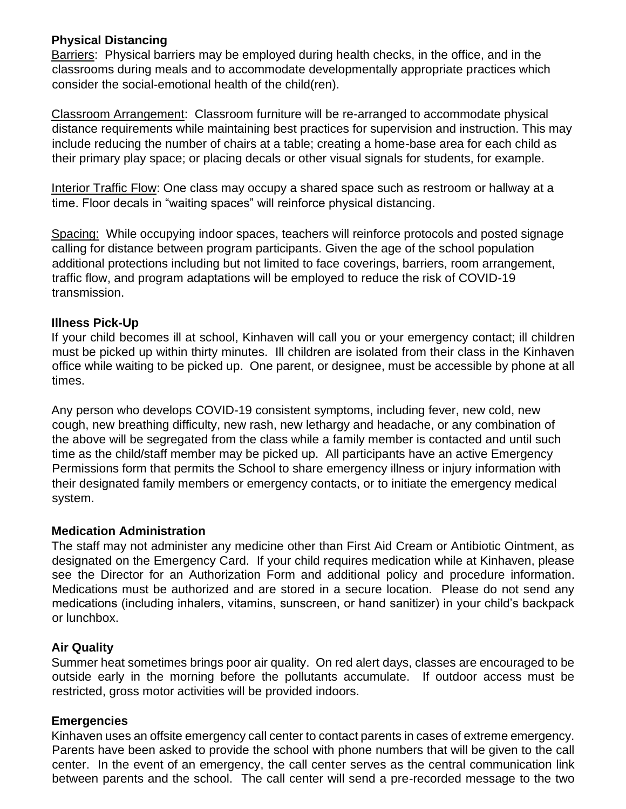#### **Physical Distancing**

Barriers: Physical barriers may be employed during health checks, in the office, and in the classrooms during meals and to accommodate developmentally appropriate practices which consider the social-emotional health of the child(ren).

Classroom Arrangement: Classroom furniture will be re-arranged to accommodate physical distance requirements while maintaining best practices for supervision and instruction. This may include reducing the number of chairs at a table; creating a home-base area for each child as their primary play space; or placing decals or other visual signals for students, for example.

Interior Traffic Flow: One class may occupy a shared space such as restroom or hallway at a time. Floor decals in "waiting spaces" will reinforce physical distancing.

Spacing: While occupying indoor spaces, teachers will reinforce protocols and posted signage calling for distance between program participants. Given the age of the school population additional protections including but not limited to face coverings, barriers, room arrangement, traffic flow, and program adaptations will be employed to reduce the risk of COVID-19 transmission.

### **Illness Pick-Up**

If your child becomes ill at school, Kinhaven will call you or your emergency contact; ill children must be picked up within thirty minutes. Ill children are isolated from their class in the Kinhaven office while waiting to be picked up. One parent, or designee, must be accessible by phone at all times.

Any person who develops COVID-19 consistent symptoms, including fever, new cold, new cough, new breathing difficulty, new rash, new lethargy and headache, or any combination of the above will be segregated from the class while a family member is contacted and until such time as the child/staff member may be picked up. All participants have an active Emergency Permissions form that permits the School to share emergency illness or injury information with their designated family members or emergency contacts, or to initiate the emergency medical system.

#### **Medication Administration**

The staff may not administer any medicine other than First Aid Cream or Antibiotic Ointment, as designated on the Emergency Card. If your child requires medication while at Kinhaven, please see the Director for an Authorization Form and additional policy and procedure information. Medications must be authorized and are stored in a secure location. Please do not send any medications (including inhalers, vitamins, sunscreen, or hand sanitizer) in your child's backpack or lunchbox.

#### **Air Quality**

Summer heat sometimes brings poor air quality. On red alert days, classes are encouraged to be outside early in the morning before the pollutants accumulate. If outdoor access must be restricted, gross motor activities will be provided indoors.

### **Emergencies**

Kinhaven uses an offsite emergency call center to contact parents in cases of extreme emergency. Parents have been asked to provide the school with phone numbers that will be given to the call center. In the event of an emergency, the call center serves as the central communication link between parents and the school. The call center will send a pre-recorded message to the two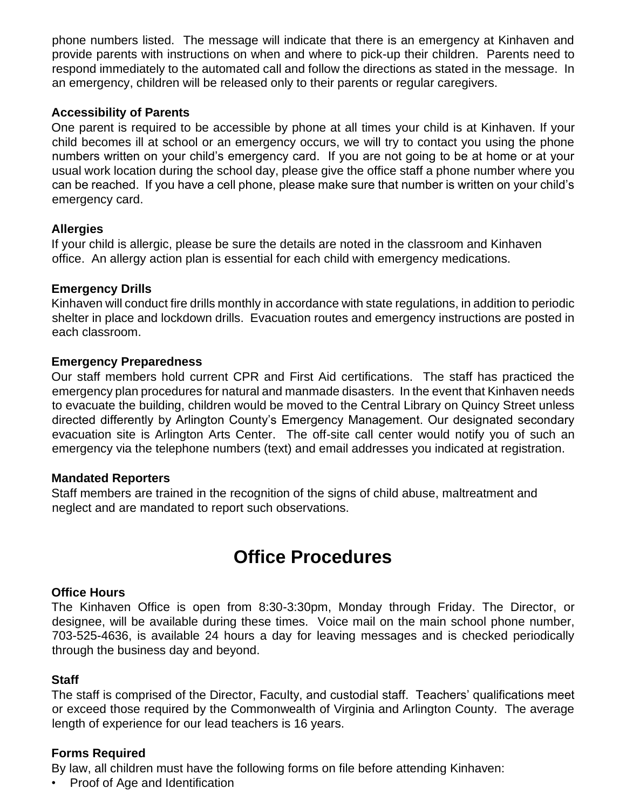phone numbers listed. The message will indicate that there is an emergency at Kinhaven and provide parents with instructions on when and where to pick-up their children. Parents need to respond immediately to the automated call and follow the directions as stated in the message. In an emergency, children will be released only to their parents or regular caregivers.

#### **Accessibility of Parents**

One parent is required to be accessible by phone at all times your child is at Kinhaven. If your child becomes ill at school or an emergency occurs, we will try to contact you using the phone numbers written on your child's emergency card. If you are not going to be at home or at your usual work location during the school day, please give the office staff a phone number where you can be reached. If you have a cell phone, please make sure that number is written on your child's emergency card.

#### **Allergies**

If your child is allergic, please be sure the details are noted in the classroom and Kinhaven office. An allergy action plan is essential for each child with emergency medications.

#### **Emergency Drills**

Kinhaven will conduct fire drills monthly in accordance with state regulations, in addition to periodic shelter in place and lockdown drills. Evacuation routes and emergency instructions are posted in each classroom.

#### **Emergency Preparedness**

Our staff members hold current CPR and First Aid certifications. The staff has practiced the emergency plan procedures for natural and manmade disasters. In the event that Kinhaven needs to evacuate the building, children would be moved to the Central Library on Quincy Street unless directed differently by Arlington County's Emergency Management. Our designated secondary evacuation site is Arlington Arts Center. The off-site call center would notify you of such an emergency via the telephone numbers (text) and email addresses you indicated at registration.

#### **Mandated Reporters**

Staff members are trained in the recognition of the signs of child abuse, maltreatment and neglect and are mandated to report such observations.

# **Office Procedures**

### **Office Hours**

The Kinhaven Office is open from 8:30-3:30pm, Monday through Friday. The Director, or designee, will be available during these times. Voice mail on the main school phone number, 703-525-4636, is available 24 hours a day for leaving messages and is checked periodically through the business day and beyond.

#### **Staff**

The staff is comprised of the Director, Faculty, and custodial staff. Teachers' qualifications meet or exceed those required by the Commonwealth of Virginia and Arlington County. The average length of experience for our lead teachers is 16 years.

#### **Forms Required**

By law, all children must have the following forms on file before attending Kinhaven:

• Proof of Age and Identification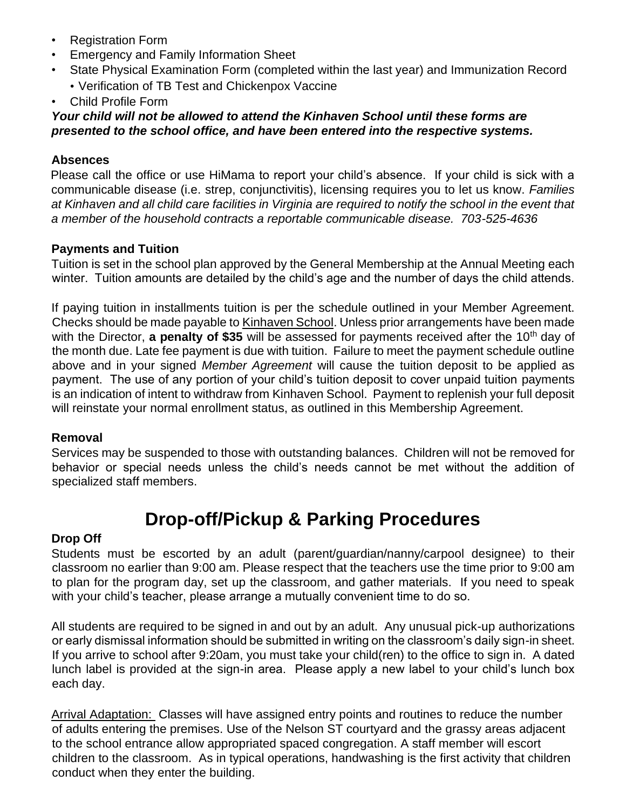- Registration Form
- Emergency and Family Information Sheet
- State Physical Examination Form (completed within the last year) and Immunization Record • Verification of TB Test and Chickenpox Vaccine
- Child Profile Form

#### *Your child will not be allowed to attend the Kinhaven School until these forms are presented to the school office, and have been entered into the respective systems.*

### **Absences**

Please call the office or use HiMama to report your child's absence. If your child is sick with a communicable disease (i.e. strep, conjunctivitis), licensing requires you to let us know. *Families at Kinhaven and all child care facilities in Virginia are required to notify the school in the event that a member of the household contracts a reportable communicable disease. 703-525-4636* 

### **Payments and Tuition**

Tuition is set in the school plan approved by the General Membership at the Annual Meeting each winter. Tuition amounts are detailed by the child's age and the number of days the child attends.

If paying tuition in installments tuition is per the schedule outlined in your Member Agreement. Checks should be made payable to Kinhaven School. Unless prior arrangements have been made with the Director, a penalty of \$35 will be assessed for payments received after the 10<sup>th</sup> day of the month due. Late fee payment is due with tuition. Failure to meet the payment schedule outline above and in your signed *Member Agreement* will cause the tuition deposit to be applied as payment. The use of any portion of your child's tuition deposit to cover unpaid tuition payments is an indication of intent to withdraw from Kinhaven School. Payment to replenish your full deposit will reinstate your normal enrollment status, as outlined in this Membership Agreement.

### **Removal**

Services may be suspended to those with outstanding balances. Children will not be removed for behavior or special needs unless the child's needs cannot be met without the addition of specialized staff members.

# **Drop-off/Pickup & Parking Procedures**

# **Drop Off**

Students must be escorted by an adult (parent/guardian/nanny/carpool designee) to their classroom no earlier than 9:00 am. Please respect that the teachers use the time prior to 9:00 am to plan for the program day, set up the classroom, and gather materials. If you need to speak with your child's teacher, please arrange a mutually convenient time to do so.

All students are required to be signed in and out by an adult. Any unusual pick-up authorizations or early dismissal information should be submitted in writing on the classroom's daily sign-in sheet. If you arrive to school after 9:20am, you must take your child(ren) to the office to sign in. A dated lunch label is provided at the sign-in area. Please apply a new label to your child's lunch box each day.

Arrival Adaptation: Classes will have assigned entry points and routines to reduce the number of adults entering the premises. Use of the Nelson ST courtyard and the grassy areas adjacent to the school entrance allow appropriated spaced congregation. A staff member will escort children to the classroom. As in typical operations, handwashing is the first activity that children conduct when they enter the building.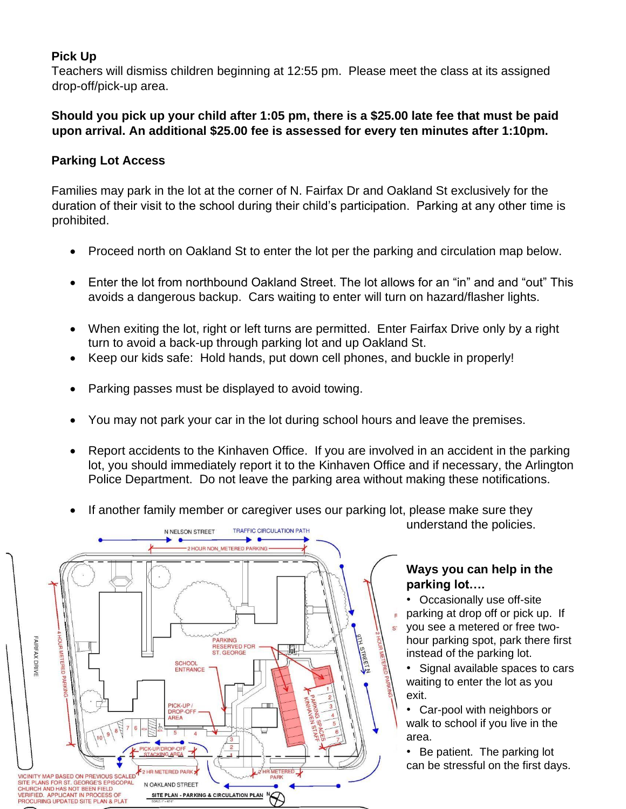# **Pick Up**

Teachers will dismiss children beginning at 12:55 pm. Please meet the class at its assigned drop-off/pick-up area.

### **Should you pick up your child after 1:05 pm, there is a \$25.00 late fee that must be paid upon arrival. An additional \$25.00 fee is assessed for every ten minutes after 1:10pm.**

# **Parking Lot Access**

Families may park in the lot at the corner of N. Fairfax Dr and Oakland St exclusively for the duration of their visit to the school during their child's participation. Parking at any other time is prohibited.

- Proceed north on Oakland St to enter the lot per the parking and circulation map below.
- Enter the lot from northbound Oakland Street. The lot allows for an "in" and and "out" This avoids a dangerous backup. Cars waiting to enter will turn on hazard/flasher lights.
- When exiting the lot, right or left turns are permitted. Enter Fairfax Drive only by a right turn to avoid a back-up through parking lot and up Oakland St.
- Keep our kids safe: Hold hands, put down cell phones, and buckle in properly!
- Parking passes must be displayed to avoid towing.
- You may not park your car in the lot during school hours and leave the premises.
- Report accidents to the Kinhaven Office. If you are involved in an accident in the parking lot, you should immediately report it to the Kinhaven Office and if necessary, the Arlington Police Department. Do not leave the parking area without making these notifications.
- If another family member or caregiver uses our parking lot, please make sure they understand the policies.



### **Ways you can help in the parking lot….**

• Occasionally use off-site parking at drop off or pick up. If you see a metered or free twohour parking spot, park there first instead of the parking lot.

• Signal available spaces to cars waiting to enter the lot as you exit.

• Car-pool with neighbors or walk to school if you live in the area.

• Be patient. The parking lot can be stressful on the first days.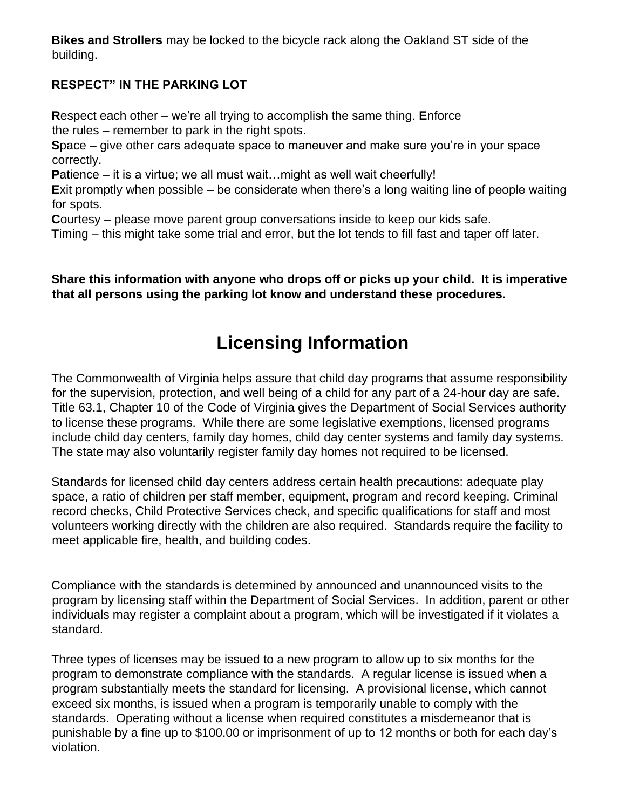**Bikes and Strollers** may be locked to the bicycle rack along the Oakland ST side of the building.

# **RESPECT" IN THE PARKING LOT**

**R**espect each other – we're all trying to accomplish the same thing. **E**nforce the rules – remember to park in the right spots.

**S**pace – give other cars adequate space to maneuver and make sure you're in your space correctly.

**P**atience – it is a virtue; we all must wait…might as well wait cheerfully!

**E**xit promptly when possible – be considerate when there's a long waiting line of people waiting for spots.

**C**ourtesy – please move parent group conversations inside to keep our kids safe.

**T**iming – this might take some trial and error, but the lot tends to fill fast and taper off later.

**Share this information with anyone who drops off or picks up your child. It is imperative that all persons using the parking lot know and understand these procedures.** 

# **Licensing Information**

The Commonwealth of Virginia helps assure that child day programs that assume responsibility for the supervision, protection, and well being of a child for any part of a 24-hour day are safe. Title 63.1, Chapter 10 of the Code of Virginia gives the Department of Social Services authority to license these programs. While there are some legislative exemptions, licensed programs include child day centers, family day homes, child day center systems and family day systems. The state may also voluntarily register family day homes not required to be licensed.

Standards for licensed child day centers address certain health precautions: adequate play space, a ratio of children per staff member, equipment, program and record keeping. Criminal record checks, Child Protective Services check, and specific qualifications for staff and most volunteers working directly with the children are also required. Standards require the facility to meet applicable fire, health, and building codes.

Compliance with the standards is determined by announced and unannounced visits to the program by licensing staff within the Department of Social Services. In addition, parent or other individuals may register a complaint about a program, which will be investigated if it violates a standard.

Three types of licenses may be issued to a new program to allow up to six months for the program to demonstrate compliance with the standards. A regular license is issued when a program substantially meets the standard for licensing. A provisional license, which cannot exceed six months, is issued when a program is temporarily unable to comply with the standards. Operating without a license when required constitutes a misdemeanor that is punishable by a fine up to \$100.00 or imprisonment of up to 12 months or both for each day's violation.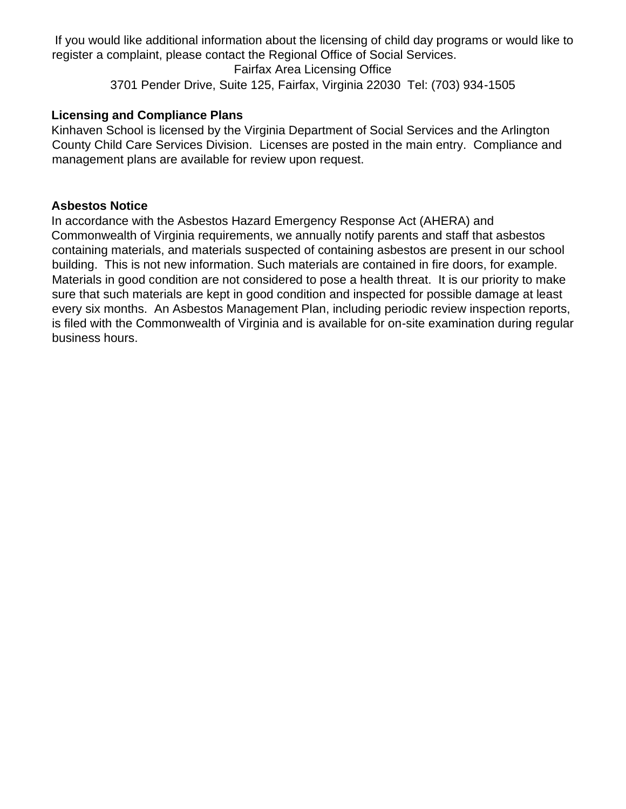If you would like additional information about the licensing of child day programs or would like to register a complaint, please contact the Regional Office of Social Services.

Fairfax Area Licensing Office 3701 Pender Drive, Suite 125, Fairfax, Virginia 22030 Tel: (703) 934-1505

### **Licensing and Compliance Plans**

Kinhaven School is licensed by the Virginia Department of Social Services and the Arlington County Child Care Services Division. Licenses are posted in the main entry. Compliance and management plans are available for review upon request.

#### **Asbestos Notice**

In accordance with the Asbestos Hazard Emergency Response Act (AHERA) and Commonwealth of Virginia requirements, we annually notify parents and staff that asbestos containing materials, and materials suspected of containing asbestos are present in our school building. This is not new information. Such materials are contained in fire doors, for example. Materials in good condition are not considered to pose a health threat. It is our priority to make sure that such materials are kept in good condition and inspected for possible damage at least every six months. An Asbestos Management Plan, including periodic review inspection reports, is filed with the Commonwealth of Virginia and is available for on-site examination during regular business hours.